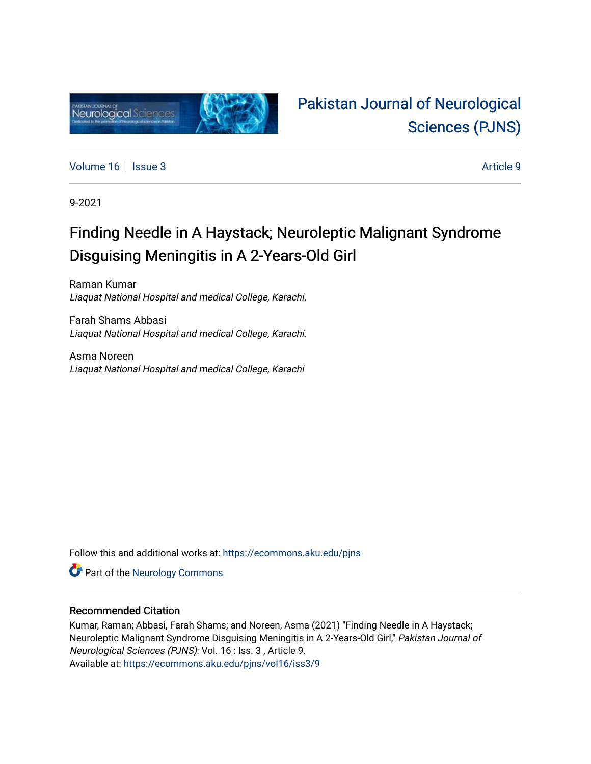

# [Pakistan Journal of Neurological](https://ecommons.aku.edu/pjns)  [Sciences \(PJNS\)](https://ecommons.aku.edu/pjns)

[Volume 16](https://ecommons.aku.edu/pjns/vol16) | [Issue 3](https://ecommons.aku.edu/pjns/vol16/iss3) Article 9

9-2021

# Finding Needle in A Haystack; Neuroleptic Malignant Syndrome Disguising Meningitis in A 2-Years-Old Girl

Raman Kumar Liaquat National Hospital and medical College, Karachi.

Farah Shams Abbasi Liaquat National Hospital and medical College, Karachi.

Asma Noreen Liaquat National Hospital and medical College, Karachi

Follow this and additional works at: [https://ecommons.aku.edu/pjns](https://ecommons.aku.edu/pjns?utm_source=ecommons.aku.edu%2Fpjns%2Fvol16%2Fiss3%2F9&utm_medium=PDF&utm_campaign=PDFCoverPages) 

**Part of the [Neurology Commons](http://network.bepress.com/hgg/discipline/692?utm_source=ecommons.aku.edu%2Fpjns%2Fvol16%2Fiss3%2F9&utm_medium=PDF&utm_campaign=PDFCoverPages)** 

### Recommended Citation

Kumar, Raman; Abbasi, Farah Shams; and Noreen, Asma (2021) "Finding Needle in A Haystack; Neuroleptic Malignant Syndrome Disguising Meningitis in A 2-Years-Old Girl," Pakistan Journal of Neurological Sciences (PJNS): Vol. 16 : Iss. 3 , Article 9. Available at: [https://ecommons.aku.edu/pjns/vol16/iss3/9](https://ecommons.aku.edu/pjns/vol16/iss3/9?utm_source=ecommons.aku.edu%2Fpjns%2Fvol16%2Fiss3%2F9&utm_medium=PDF&utm_campaign=PDFCoverPages)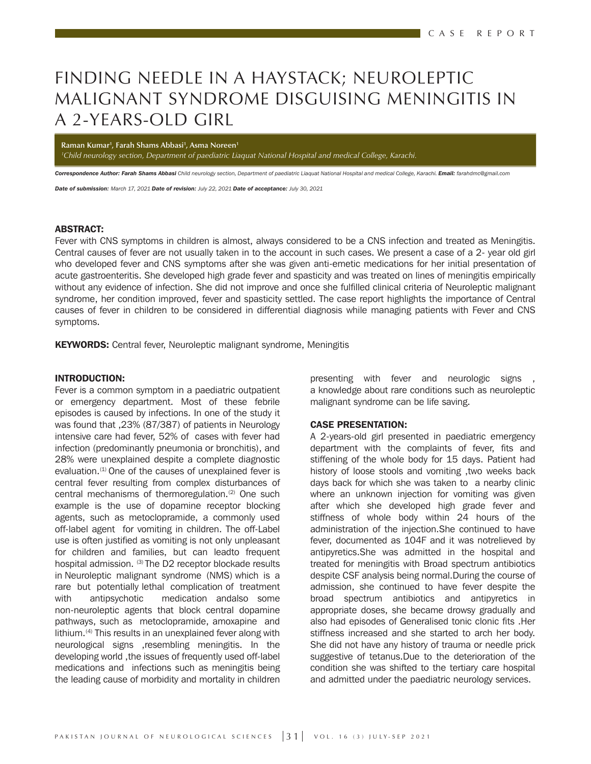### FINDING NEEDLE IN A HAYSTACK; NEUROLEPTIC MALIGNANT SYNDROME DISGUISING MENINGITIS IN A 2-YEARS-OLD GIRL

**Raman Kumar1 , Farah Shams Abbasi1 , Asma Noreen1**

*1 Child neurology section, Department of paediatric Liaquat National Hospital and medical College, Karachi.*

*Correspondence Author: Farah Shams Abbasi Child neurology section, Department of paediatric Liaquat National Hospital and medical College, Karachi. Email: farahdmc@gmail.com* 

*Date of submission: March 17, 2021 Date of revision: July 22, 2021 Date of acceptance: July 30, 2021*

#### ABSTRACT:

Fever with CNS symptoms in children is almost, always considered to be a CNS infection and treated as Meningitis. Central causes of fever are not usually taken in to the account in such cases. We present a case of a 2- year old girl who developed fever and CNS symptoms after she was given anti-emetic medications for her initial presentation of acute gastroenteritis. She developed high grade fever and spasticity and was treated on lines of meningitis empirically without any evidence of infection. She did not improve and once she fulfilled clinical criteria of Neuroleptic malignant syndrome, her condition improved, fever and spasticity settled. The case report highlights the importance of Central causes of fever in children to be considered in differential diagnosis while managing patients with Fever and CNS symptoms.

**KEYWORDS:** Central fever, Neuroleptic malignant syndrome, Meningitis

#### INTRODUCTION:

Fever is a common symptom in a paediatric outpatient or emergency department. Most of these febrile episodes is caused by infections. In one of the study it was found that ,23% (87/387) of patients in Neurology intensive care had fever, 52% of cases with fever had infection (predominantly pneumonia or bronchitis), and 28% were unexplained despite a complete diagnostic evaluation.<sup>(1)</sup> One of the causes of unexplained fever is central fever resulting from complex disturbances of central mechanisms of thermoregulation.<sup>(2)</sup> One such example is the use of dopamine receptor blocking agents, such as metoclopramide, a commonly used off-label agent for vomiting in children. The off-Label use is often justified as vomiting is not only unpleasant for children and families, but can leadto frequent hospital admission. (3) The D2 receptor blockade results in Neuroleptic malignant syndrome (NMS) which is a rare but potentially lethal complication of treatment with antipsychotic medication andalso some non-neuroleptic agents that block central dopamine pathways, such as metoclopramide, amoxapine and lithium.<sup>(4)</sup> This results in an unexplained fever along with neurological signs ,resembling meningitis. In the developing world ,the issues of frequently used off-label medications and infections such as meningitis being the leading cause of morbidity and mortality in children

presenting with fever and neurologic signs a knowledge about rare conditions such as neuroleptic malignant syndrome can be life saving.

#### CASE PRESENTATION:

A 2-years-old girl presented in paediatric emergency department with the complaints of fever, fits and stiffening of the whole body for 15 days. Patient had history of loose stools and vomiting ,two weeks back days back for which she was taken to a nearby clinic where an unknown injection for vomiting was given after which she developed high grade fever and stiffness of whole body within 24 hours of the administration of the injection.She continued to have fever, documented as 104F and it was notrelieved by antipyretics.She was admitted in the hospital and treated for meningitis with Broad spectrum antibiotics despite CSF analysis being normal.During the course of admission, she continued to have fever despite the broad spectrum antibiotics and antipyretics in appropriate doses, she became drowsy gradually and also had episodes of Generalised tonic clonic fits .Her stiffness increased and she started to arch her body. She did not have any history of trauma or needle prick suggestive of tetanus.Due to the deterioration of the condition she was shifted to the tertiary care hospital and admitted under the paediatric neurology services.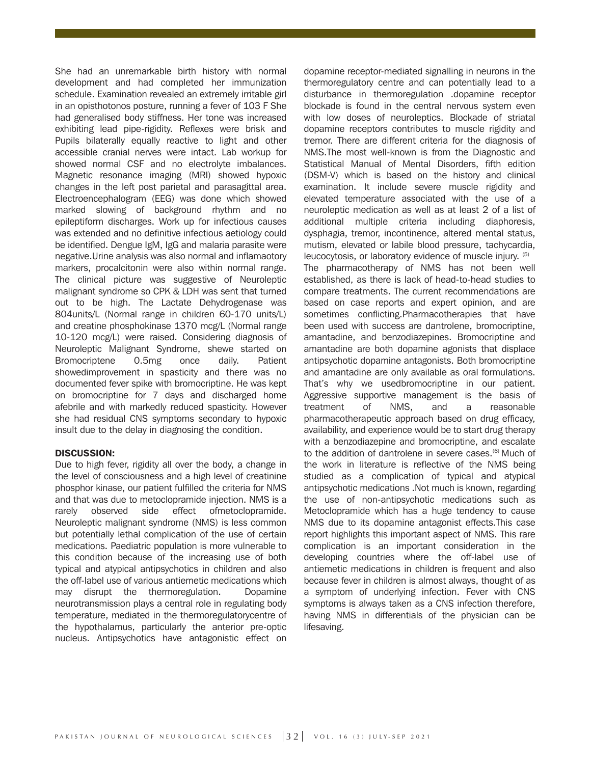She had an unremarkable birth history with normal development and had completed her immunization schedule. Examination revealed an extremely irritable girl in an opisthotonos posture, running a fever of 103 F She had generalised body stiffness. Her tone was increased exhibiting lead pipe-rigidity. Reflexes were brisk and Pupils bilaterally equally reactive to light and other accessible cranial nerves were intact. Lab workup for showed normal CSF and no electrolyte imbalances. Magnetic resonance imaging (MRI) showed hypoxic changes in the left post parietal and parasagittal area. Electroencephalogram (EEG) was done which showed marked slowing of background rhythm and no epileptiform discharges. Work up for infectious causes was extended and no definitive infectious aetiology could be identified. Dengue IgM, IgG and malaria parasite were negative.Urine analysis was also normal and inflamaotory markers, procalcitonin were also within normal range. The clinical picture was suggestive of Neuroleptic malignant syndrome so CPK & LDH was sent that turned out to be high. The Lactate Dehydrogenase was 804units/L (Normal range in children 60-170 units/L) and creatine phosphokinase 1370 mcg/L (Normal range 10-120 mcg/L) were raised. Considering diagnosis of Neuroleptic Malignant Syndrome, shewe started on Bromocriptene 0.5mg once daily. Patient showedimprovement in spasticity and there was no documented fever spike with bromocriptine. He was kept on bromocriptine for 7 days and discharged home afebrile and with markedly reduced spasticity. However she had residual CNS symptoms secondary to hypoxic insult due to the delay in diagnosing the condition.

#### DISCUSSION:

Due to high fever, rigidity all over the body, a change in the level of consciousness and a high level of creatinine phosphor kinase, our patient fulfilled the criteria for NMS and that was due to metoclopramide injection. NMS is a rarely observed side effect ofmetoclopramide. Neuroleptic malignant syndrome (NMS) is less common but potentially lethal complication of the use of certain medications. Paediatric population is more vulnerable to this condition because of the increasing use of both typical and atypical antipsychotics in children and also the off-label use of various antiemetic medications which may disrupt the thermoregulation. Dopamine neurotransmission plays a central role in regulating body temperature, mediated in the thermoregulatorycentre of the hypothalamus, particularly the anterior pre-optic nucleus. Antipsychotics have antagonistic effect on

dopamine receptor-mediated signalling in neurons in the thermoregulatory centre and can potentially lead to a disturbance in thermoregulation .dopamine receptor blockade is found in the central nervous system even with low doses of neuroleptics. Blockade of striatal dopamine receptors contributes to muscle rigidity and tremor. There are different criteria for the diagnosis of NMS.The most well-known is from the Diagnostic and Statistical Manual of Mental Disorders, fifth edition (DSM-V) which is based on the history and clinical examination. It include severe muscle rigidity and elevated temperature associated with the use of a neuroleptic medication as well as at least 2 of a list of additional multiple criteria including diaphoresis, dysphagia, tremor, incontinence, altered mental status, mutism, elevated or labile blood pressure, tachycardia, leucocytosis, or laboratory evidence of muscle injury. (5) The pharmacotherapy of NMS has not been well established, as there is lack of head-to-head studies to compare treatments. The current recommendations are based on case reports and expert opinion, and are sometimes conflicting.Pharmacotherapies that have been used with success are dantrolene, bromocriptine, amantadine, and benzodiazepines. Bromocriptine and amantadine are both dopamine agonists that displace antipsychotic dopamine antagonists. Both bromocriptine and amantadine are only available as oral formulations. That's why we usedbromocriptine in our patient. Aggressive supportive management is the basis of treatment of NMS, and a reasonable pharmacotherapeutic approach based on drug efficacy, availability, and experience would be to start drug therapy with a benzodiazepine and bromocriptine, and escalate to the addition of dantrolene in severe cases.<sup>(6)</sup> Much of the work in literature is reflective of the NMS being studied as a complication of typical and atypical antipsychotic medications .Not much is known, regarding the use of non-antipsychotic medications such as Metoclopramide which has a huge tendency to cause NMS due to its dopamine antagonist effects.This case report highlights this important aspect of NMS. This rare complication is an important consideration in the developing countries where the off-label use of antiemetic medications in children is frequent and also because fever in children is almost always, thought of as a symptom of underlying infection. Fever with CNS symptoms is always taken as a CNS infection therefore, having NMS in differentials of the physician can be lifesaving.